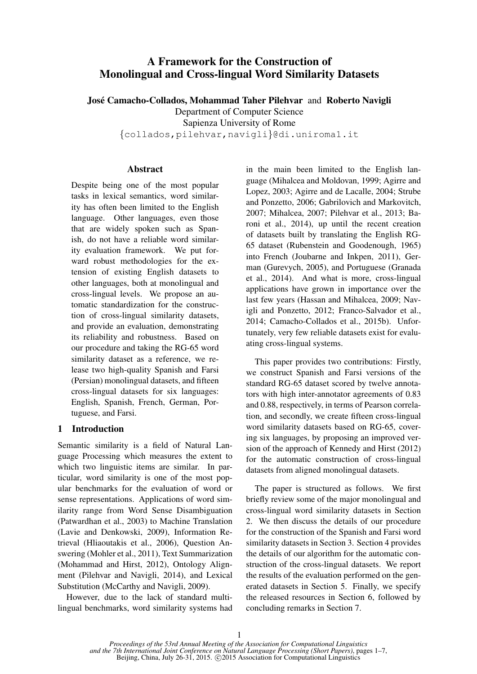# A Framework for the Construction of Monolingual and Cross-lingual Word Similarity Datasets

José Camacho-Collados, Mohammad Taher Pilehvar and Roberto Navigli

Department of Computer Science

Sapienza University of Rome

{collados,pilehvar,navigli}@di.uniroma1.it

# Abstract

Despite being one of the most popular tasks in lexical semantics, word similarity has often been limited to the English language. Other languages, even those that are widely spoken such as Spanish, do not have a reliable word similarity evaluation framework. We put forward robust methodologies for the extension of existing English datasets to other languages, both at monolingual and cross-lingual levels. We propose an automatic standardization for the construction of cross-lingual similarity datasets, and provide an evaluation, demonstrating its reliability and robustness. Based on our procedure and taking the RG-65 word similarity dataset as a reference, we release two high-quality Spanish and Farsi (Persian) monolingual datasets, and fifteen cross-lingual datasets for six languages: English, Spanish, French, German, Portuguese, and Farsi.

# 1 Introduction

Semantic similarity is a field of Natural Language Processing which measures the extent to which two linguistic items are similar. In particular, word similarity is one of the most popular benchmarks for the evaluation of word or sense representations. Applications of word similarity range from Word Sense Disambiguation (Patwardhan et al., 2003) to Machine Translation (Lavie and Denkowski, 2009), Information Retrieval (Hliaoutakis et al., 2006), Question Answering (Mohler et al., 2011), Text Summarization (Mohammad and Hirst, 2012), Ontology Alignment (Pilehvar and Navigli, 2014), and Lexical Substitution (McCarthy and Navigli, 2009).

However, due to the lack of standard multilingual benchmarks, word similarity systems had in the main been limited to the English language (Mihalcea and Moldovan, 1999; Agirre and Lopez, 2003; Agirre and de Lacalle, 2004; Strube and Ponzetto, 2006; Gabrilovich and Markovitch, 2007; Mihalcea, 2007; Pilehvar et al., 2013; Baroni et al., 2014), up until the recent creation of datasets built by translating the English RG-65 dataset (Rubenstein and Goodenough, 1965) into French (Joubarne and Inkpen, 2011), German (Gurevych, 2005), and Portuguese (Granada et al., 2014). And what is more, cross-lingual applications have grown in importance over the last few years (Hassan and Mihalcea, 2009; Navigli and Ponzetto, 2012; Franco-Salvador et al., 2014; Camacho-Collados et al., 2015b). Unfortunately, very few reliable datasets exist for evaluating cross-lingual systems.

This paper provides two contributions: Firstly, we construct Spanish and Farsi versions of the standard RG-65 dataset scored by twelve annotators with high inter-annotator agreements of 0.83 and 0.88, respectively, in terms of Pearson correlation, and secondly, we create fifteen cross-lingual word similarity datasets based on RG-65, covering six languages, by proposing an improved version of the approach of Kennedy and Hirst (2012) for the automatic construction of cross-lingual datasets from aligned monolingual datasets.

The paper is structured as follows. We first briefly review some of the major monolingual and cross-lingual word similarity datasets in Section 2. We then discuss the details of our procedure for the construction of the Spanish and Farsi word similarity datasets in Section 3. Section 4 provides the details of our algorithm for the automatic construction of the cross-lingual datasets. We report the results of the evaluation performed on the generated datasets in Section 5. Finally, we specify the released resources in Section 6, followed by concluding remarks in Section 7.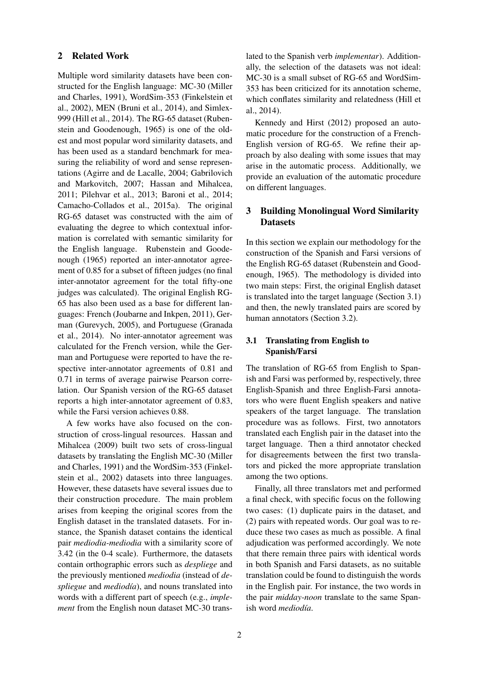## 2 Related Work

Multiple word similarity datasets have been constructed for the English language: MC-30 (Miller and Charles, 1991), WordSim-353 (Finkelstein et al., 2002), MEN (Bruni et al., 2014), and Simlex-999 (Hill et al., 2014). The RG-65 dataset (Rubenstein and Goodenough, 1965) is one of the oldest and most popular word similarity datasets, and has been used as a standard benchmark for measuring the reliability of word and sense representations (Agirre and de Lacalle, 2004; Gabrilovich and Markovitch, 2007; Hassan and Mihalcea, 2011; Pilehvar et al., 2013; Baroni et al., 2014; Camacho-Collados et al., 2015a). The original RG-65 dataset was constructed with the aim of evaluating the degree to which contextual information is correlated with semantic similarity for the English language. Rubenstein and Goodenough (1965) reported an inter-annotator agreement of 0.85 for a subset of fifteen judges (no final inter-annotator agreement for the total fifty-one judges was calculated). The original English RG-65 has also been used as a base for different languages: French (Joubarne and Inkpen, 2011), German (Gurevych, 2005), and Portuguese (Granada et al., 2014). No inter-annotator agreement was calculated for the French version, while the German and Portuguese were reported to have the respective inter-annotator agreements of 0.81 and 0.71 in terms of average pairwise Pearson correlation. Our Spanish version of the RG-65 dataset reports a high inter-annotator agreement of 0.83, while the Farsi version achieves 0.88.

A few works have also focused on the construction of cross-lingual resources. Hassan and Mihalcea (2009) built two sets of cross-lingual datasets by translating the English MC-30 (Miller and Charles, 1991) and the WordSim-353 (Finkelstein et al., 2002) datasets into three languages. However, these datasets have several issues due to their construction procedure. The main problem arises from keeping the original scores from the English dataset in the translated datasets. For instance, the Spanish dataset contains the identical pair *mediodia-mediodia* with a similarity score of 3.42 (in the 0-4 scale). Furthermore, the datasets contain orthographic errors such as *despliege* and the previously mentioned *mediodia* (instead of *de*spliegue and *mediodía*), and nouns translated into words with a different part of speech (e.g., *implement* from the English noun dataset MC-30 translated to the Spanish verb *implementar*). Additionally, the selection of the datasets was not ideal: MC-30 is a small subset of RG-65 and WordSim-353 has been criticized for its annotation scheme, which conflates similarity and relatedness (Hill et al., 2014).

Kennedy and Hirst (2012) proposed an automatic procedure for the construction of a French-English version of RG-65. We refine their approach by also dealing with some issues that may arise in the automatic process. Additionally, we provide an evaluation of the automatic procedure on different languages.

# 3 Building Monolingual Word Similarity **Datasets**

In this section we explain our methodology for the construction of the Spanish and Farsi versions of the English RG-65 dataset (Rubenstein and Goodenough, 1965). The methodology is divided into two main steps: First, the original English dataset is translated into the target language (Section 3.1) and then, the newly translated pairs are scored by human annotators (Section 3.2).

# 3.1 Translating from English to Spanish/Farsi

The translation of RG-65 from English to Spanish and Farsi was performed by, respectively, three English-Spanish and three English-Farsi annotators who were fluent English speakers and native speakers of the target language. The translation procedure was as follows. First, two annotators translated each English pair in the dataset into the target language. Then a third annotator checked for disagreements between the first two translators and picked the more appropriate translation among the two options.

Finally, all three translators met and performed a final check, with specific focus on the following two cases: (1) duplicate pairs in the dataset, and (2) pairs with repeated words. Our goal was to reduce these two cases as much as possible. A final adjudication was performed accordingly. We note that there remain three pairs with identical words in both Spanish and Farsi datasets, as no suitable translation could be found to distinguish the words in the English pair. For instance, the two words in the pair *midday-noon* translate to the same Spanish word *mediodía*.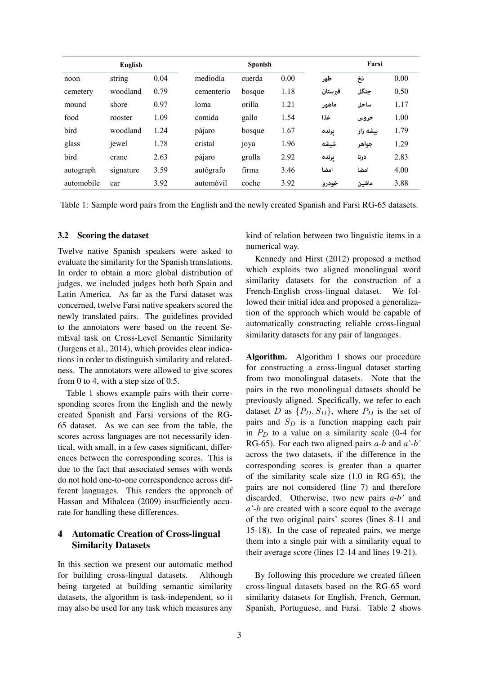| English    |           |      | <b>Spanish</b> |        |      | Farsi   |          |      |
|------------|-----------|------|----------------|--------|------|---------|----------|------|
| noon       | string    | 0.04 | mediodía       | cuerda | 0.00 | ظهر     | نخ       | 0.00 |
| cemetery   | woodland  | 0.79 | cementerio     | bosque | 1.18 | قىرستان | جنگل     | 0.50 |
| mound      | shore     | 0.97 | loma           | orilla | 1.21 | ماهور   | ساحل     | 1.17 |
| food       | rooster   | 1.09 | comida         | gallo  | 1.54 | غذا     | خروس     | 1.00 |
| bird       | woodland  | 1.24 | pájaro         | bosque | 1.67 | يرنده   | بیشه زار | 1.79 |
| glass      | jewel     | 1.78 | cristal        | 10ya   | 1.96 | شيشه    | جواهر    | 1.29 |
| bird       | crane     | 2.63 | pájaro         | grulla | 2.92 | يرنده   | درنا     | 2.83 |
| autograph  | signature | 3.59 | autógrafo      | firma  | 3.46 | امضا    | امضا     | 4.00 |
| automobile | car       | 3.92 | automóvil      | coche  | 3.92 | خودرو   | ماشين    | 3.88 |

Table 1: Sample word pairs from the English and the newly created Spanish and Farsi RG-65 datasets.

#### 3.2 Scoring the dataset

Twelve native Spanish speakers were asked to evaluate the similarity for the Spanish translations. In order to obtain a more global distribution of judges, we included judges both both Spain and Latin America. As far as the Farsi dataset was concerned, twelve Farsi native speakers scored the newly translated pairs. The guidelines provided to the annotators were based on the recent SemEval task on Cross-Level Semantic Similarity (Jurgens et al., 2014), which provides clear indications in order to distinguish similarity and relatedness. The annotators were allowed to give scores from 0 to 4, with a step size of 0.5.

Table 1 shows example pairs with their corresponding scores from the English and the newly created Spanish and Farsi versions of the RG-65 dataset. As we can see from the table, the scores across languages are not necessarily identical, with small, in a few cases significant, differences between the corresponding scores. This is due to the fact that associated senses with words do not hold one-to-one correspondence across different languages. This renders the approach of Hassan and Mihalcea (2009) insufficiently accurate for handling these differences.

# 4 Automatic Creation of Cross-lingual Similarity Datasets

In this section we present our automatic method for building cross-lingual datasets. Although being targeted at building semantic similarity datasets, the algorithm is task-independent, so it may also be used for any task which measures any

kind of relation between two linguistic items in a numerical way.

Kennedy and Hirst (2012) proposed a method which exploits two aligned monolingual word similarity datasets for the construction of a French-English cross-lingual dataset. We followed their initial idea and proposed a generalization of the approach which would be capable of automatically constructing reliable cross-lingual similarity datasets for any pair of languages.

Algorithm. Algorithm 1 shows our procedure for constructing a cross-lingual dataset starting from two monolingual datasets. Note that the pairs in the two monolingual datasets should be previously aligned. Specifically, we refer to each dataset D as  $\{P_D, S_D\}$ , where  $P_D$  is the set of pairs and  $S_D$  is a function mapping each pair in  $P_D$  to a value on a similarity scale (0-4 for RG-65). For each two aligned pairs *a-b* and *a'-b'* across the two datasets, if the difference in the corresponding scores is greater than a quarter of the similarity scale size (1.0 in RG-65), the pairs are not considered (line 7) and therefore discarded. Otherwise, two new pairs *a-b'* and *a'-b* are created with a score equal to the average of the two original pairs' scores (lines 8-11 and 15-18). In the case of repeated pairs, we merge them into a single pair with a similarity equal to their average score (lines 12-14 and lines 19-21).

By following this procedure we created fifteen cross-lingual datasets based on the RG-65 word similarity datasets for English, French, German, Spanish, Portuguese, and Farsi. Table 2 shows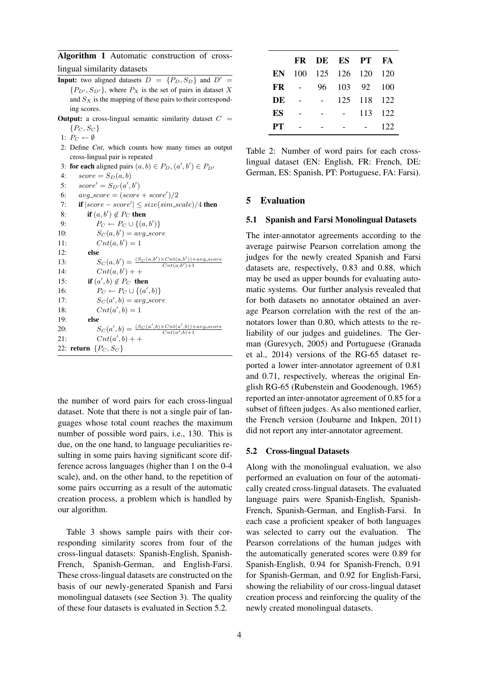Algorithm 1 Automatic construction of crosslingual similarity datasets

- **Input:** two aligned datasets  $D = \{P_D, S_D\}$  and  $D' =$  ${P_{D', S_{D'}}}$ , where  $P_X$  is the set of pairs in dataset X and  $S_X$  is the mapping of these pairs to their corresponding scores.
- **Output:** a cross-lingual semantic similarity dataset  $C =$  $\{P_C, S_C\}$
- 1:  $P_C \leftarrow \emptyset$
- 2: Define *Cnt*, which counts how many times an output cross-lingual pair is repeated
- 3: **for each** aligned pairs  $(a, b) \in P_D$ ,  $(a', b') \in P_{D'}$

4:  $score = S_D(a, b)$ 

- 5:  $score' = S_{D'}(a', b')$
- 6:  $avg\_score = (score + score')/2$
- 7: **if**  $|score score'| \leq size(sim\_scale)/4$  then 8: if  $(a, b') \notin P_C$  then 9:  $P_C \leftarrow P_C \cup \{(a, b')\}$ 10:  $S_C(a, b') = avg\_score$ 11:  $Cnt(a, b') = 1$ 12: else 13:  $S_C(a, b') = \frac{(S_C(a, b') \times Cnt(a, b')) + avg\_score}{Cnt(a, b') + 1}$  $Cnt(a,b')+1$ 14:  $Cnt(a, b') + +$ 15: **if**  $(a', b) \notin P_C$  then 16:  $P_C \leftarrow P_C \cup \{(a', b)\}$ 17:  $S_C(a', b) = avg\_score$ 18:  $Cnt(a', b) = 1$ 19: else 20:  $S_C(a', b) = \frac{(S_C(a', b) \times Cnt(a', b)) + avg\_score}{Cnt(a', b) + 1}$ 21:  $Cnt(a', b) + +$ 22: return  $\{P_C, S_C\}$

the number of word pairs for each cross-lingual dataset. Note that there is not a single pair of languages whose total count reaches the maximum number of possible word pairs, i.e., 130. This is due, on the one hand, to language peculiarities resulting in some pairs having significant score difference across languages (higher than 1 on the 0-4 scale), and, on the other hand, to the repetition of some pairs occurring as a result of the automatic creation process, a problem which is handled by our algorithm.

Table 3 shows sample pairs with their corresponding similarity scores from four of the cross-lingual datasets: Spanish-English, Spanish-French, Spanish-German, and English-Farsi. These cross-lingual datasets are constructed on the basis of our newly-generated Spanish and Farsi monolingual datasets (see Section 3). The quality of these four datasets is evaluated in Section 5.2.

|           |                                   | FR DE ES PT FA                |             |     |
|-----------|-----------------------------------|-------------------------------|-------------|-----|
|           |                                   | <b>EN</b> 100 125 126 120 120 |             |     |
| FR        |                                   | 96 103 92 100                 |             |     |
| DE        | <b>Contract Contract Contract</b> |                               | 125 118 122 |     |
| ES        |                                   |                               | 113 122     |     |
| <b>PT</b> |                                   |                               |             | 122 |

Table 2: Number of word pairs for each crosslingual dataset (EN: English, FR: French, DE: German, ES: Spanish, PT: Portuguese, FA: Farsi).

## 5 Evaluation

#### 5.1 Spanish and Farsi Monolingual Datasets

The inter-annotator agreements according to the average pairwise Pearson correlation among the judges for the newly created Spanish and Farsi datasets are, respectively, 0.83 and 0.88, which may be used as upper bounds for evaluating automatic systems. Our further analysis revealed that for both datasets no annotator obtained an average Pearson correlation with the rest of the annotators lower than 0.80, which attests to the reliability of our judges and guidelines. The German (Gurevych, 2005) and Portuguese (Granada et al., 2014) versions of the RG-65 dataset reported a lower inter-annotator agreement of 0.81 and 0.71, respectively, whereas the original English RG-65 (Rubenstein and Goodenough, 1965) reported an inter-annotator agreement of 0.85 for a subset of fifteen judges. As also mentioned earlier, the French version (Joubarne and Inkpen, 2011) did not report any inter-annotator agreement.

#### 5.2 Cross-lingual Datasets

Along with the monolingual evaluation, we also performed an evaluation on four of the automatically created cross-lingual datasets. The evaluated language pairs were Spanish-English, Spanish-French, Spanish-German, and English-Farsi. In each case a proficient speaker of both languages was selected to carry out the evaluation. The Pearson correlations of the human judges with the automatically generated scores were 0.89 for Spanish-English, 0.94 for Spanish-French, 0.91 for Spanish-German, and 0.92 for English-Farsi, showing the reliability of our cross-lingual dataset creation process and reinforcing the quality of the newly created monolingual datasets.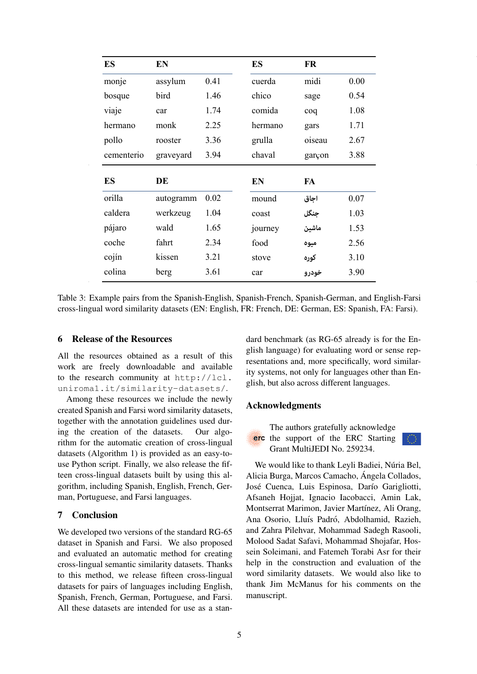| ES         | EN        |      | ES      | FR     |      |
|------------|-----------|------|---------|--------|------|
| monje      | assylum   | 0.41 | cuerda  | midi   | 0.00 |
| bosque     | bird      | 1.46 | chico   | sage   | 0.54 |
| viaje      | car       | 1.74 | comida  | coq    | 1.08 |
| hermano    | monk      | 2.25 | hermano | gars   | 1.71 |
| pollo      | rooster   | 3.36 | grulla  | oiseau | 2.67 |
| cementerio | graveyard | 3.94 | chaval  | garçon | 3.88 |
| ES         | DE        |      | EN      | FA     |      |
| orilla     | autogramm |      |         |        |      |
|            |           | 0.02 | mound   | اجاق   | 0.07 |
| caldera    | werkzeug  | 1.04 | coast   | جنگل   | 1.03 |
| pájaro     | wald      | 1.65 | journey | ماشين  | 1.53 |
| coche      | fahrt     | 2.34 | food    | ميوه   | 2.56 |
| cojín      | kissen    | 3.21 | stove   | کوره   | 3.10 |

Table 3: Example pairs from the Spanish-English, Spanish-French, Spanish-German, and English-Farsi cross-lingual word similarity datasets (EN: English, FR: French, DE: German, ES: Spanish, FA: Farsi).

# 6 Release of the Resources

All the resources obtained as a result of this work are freely downloadable and available to the research community at http://lcl. uniroma1.it/similarity-datasets/.

Among these resources we include the newly created Spanish and Farsi word similarity datasets, together with the annotation guidelines used during the creation of the datasets. Our algorithm for the automatic creation of cross-lingual datasets (Algorithm 1) is provided as an easy-touse Python script. Finally, we also release the fifteen cross-lingual datasets built by using this algorithm, including Spanish, English, French, German, Portuguese, and Farsi languages.

### 7 Conclusion

We developed two versions of the standard RG-65 dataset in Spanish and Farsi. We also proposed and evaluated an automatic method for creating cross-lingual semantic similarity datasets. Thanks to this method, we release fifteen cross-lingual datasets for pairs of languages including English, Spanish, French, German, Portuguese, and Farsi. All these datasets are intended for use as a standard benchmark (as RG-65 already is for the English language) for evaluating word or sense representations and, more specifically, word similarity systems, not only for languages other than English, but also across different languages.

## Acknowledgments



The authors gratefully acknowledge erc the support of the ERC Starting Grant MultiJEDI No. 259234.

We would like to thank Leyli Badiei, Núria Bel, Alicia Burga, Marcos Camacho, Angela Collados, ´ José Cuenca, Luis Espinosa, Darío Garigliotti, Afsaneh Hojjat, Ignacio Iacobacci, Amin Lak, Montserrat Marimon, Javier Martínez, Ali Orang, Ana Osorio, Lluís Padró, Abdolhamid, Razieh, and Zahra Pilehvar, Mohammad Sadegh Rasooli, Molood Sadat Safavi, Mohammad Shojafar, Hossein Soleimani, and Fatemeh Torabi Asr for their help in the construction and evaluation of the word similarity datasets. We would also like to thank Jim McManus for his comments on the manuscript.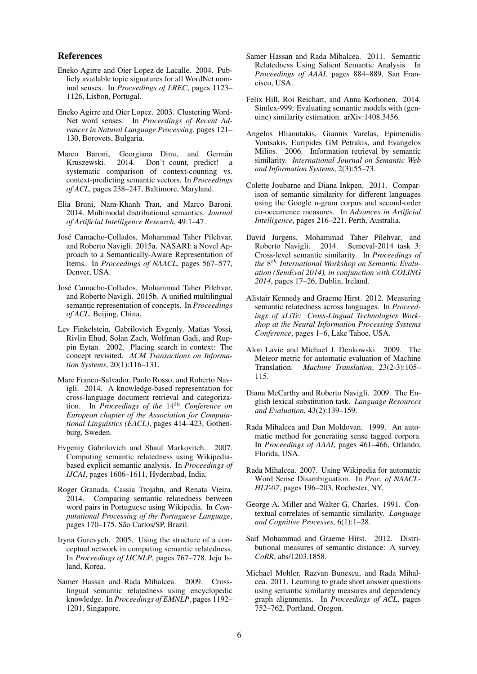#### References

- Eneko Agirre and Oier Lopez de Lacalle. 2004. Publicly available topic signatures for all WordNet nominal senses. In *Proceedings of LREC*, pages 1123– 1126, Lisbon, Portugal.
- Eneko Agirre and Oier Lopez. 2003. Clustering Word-Net word senses. In *Proceedings of Recent Advances in Natural Language Processing*, pages 121– 130, Borovets, Bulgaria.
- Marco Baroni, Georgiana Dinu, and Germán Kruszewski. 2014. Don't count, predict! a systematic comparison of context-counting vs. context-predicting semantic vectors. In *Proceedings of ACL*, pages 238–247, Baltimore, Maryland.
- Elia Bruni, Nam-Khanh Tran, and Marco Baroni. 2014. Multimodal distributional semantics. *Journal of Artificial Intelligence Research*, 49:1–47.
- Jose Camacho-Collados, Mohammad Taher Pilehvar, ´ and Roberto Navigli. 2015a. NASARI: a Novel Approach to a Semantically-Aware Representation of Items. In *Proceedings of NAACL*, pages 567–577, Denver, USA.
- Jose Camacho-Collados, Mohammad Taher Pilehvar, ´ and Roberto Navigli. 2015b. A unified multilingual semantic representation of concepts. In *Proceedings of ACL*, Beijing, China.
- Lev Finkelstein, Gabrilovich Evgenly, Matias Yossi, Rivlin Ehud, Solan Zach, Wolfman Gadi, and Ruppin Eytan. 2002. Placing search in context: The concept revisited. *ACM Transactions on Information Systems*, 20(1):116–131.
- Marc Franco-Salvador, Paolo Rosso, and Roberto Navigli. 2014. A knowledge-based representation for cross-language document retrieval and categorization. In *Proceedings of the* 14th *Conference on European chapter of the Association for Computational Linguistics (EACL)*, pages 414–423, Gothenburg, Sweden.
- Evgeniy Gabrilovich and Shaul Markovitch. 2007. Computing semantic relatedness using Wikipediabased explicit semantic analysis. In *Proceedings of IJCAI*, pages 1606–1611, Hyderabad, India.
- Roger Granada, Cassia Trojahn, and Renata Vieira. 2014. Comparing semantic relatedness between word pairs in Portuguese using Wikipedia. In *Computational Processing of the Portuguese Language*, pages 170–175. São Carlos/SP, Brazil.
- Iryna Gurevych. 2005. Using the structure of a conceptual network in computing semantic relatedness. In *Proceedings of IJCNLP*, pages 767–778. Jeju Island, Korea.
- Samer Hassan and Rada Mihalcea. 2009. Crosslingual semantic relatedness using encyclopedic knowledge. In *Proceedings of EMNLP*, pages 1192– 1201, Singapore.
- Samer Hassan and Rada Mihalcea. 2011. Semantic Relatedness Using Salient Semantic Analysis. In *Proceedings of AAAI*, pages 884–889, San Francisco, USA.
- Felix Hill, Roi Reichart, and Anna Korhonen. 2014. Simlex-999: Evaluating semantic models with (genuine) similarity estimation. arXiv:1408.3456.
- Angelos Hliaoutakis, Giannis Varelas, Epimenidis Voutsakis, Euripides GM Petrakis, and Evangelos Milios. 2006. Information retrieval by semantic similarity. *International Journal on Semantic Web and Information Systems*, 2(3):55–73.
- Colette Joubarne and Diana Inkpen. 2011. Comparison of semantic similarity for different languages using the Google n-gram corpus and second-order co-occurrence measures. In *Advances in Artificial Intelligence*, pages 216–221. Perth, Australia.
- David Jurgens, Mohammad Taher Pilehvar, and Roberto Navigli. 2014. Semeval-2014 task 3: Cross-level semantic similarity. In *Proceedings of* the 8<sup>th</sup> International Workshop on Semantic Evalu*ation (SemEval 2014), in conjunction with COLING 2014*, pages 17–26, Dublin, Ireland.
- Alistair Kennedy and Graeme Hirst. 2012. Measuring semantic relatedness across languages. In *Proceedings of xLiTe: Cross-Lingual Technologies Workshop at the Neural Information Processing Systems Conference*, pages 1–6, Lake Tahoe, USA.
- Alon Lavie and Michael J. Denkowski. 2009. The Meteor metric for automatic evaluation of Machine Translation. *Machine Translation*, 23(2-3):105– 115.
- Diana McCarthy and Roberto Navigli. 2009. The English lexical substitution task. *Language Resources and Evaluation*, 43(2):139–159.
- Rada Mihalcea and Dan Moldovan. 1999. An automatic method for generating sense tagged corpora. In *Proceedings of AAAI*, pages 461–466, Orlando, Florida, USA.
- Rada Mihalcea. 2007. Using Wikipedia for automatic Word Sense Disambiguation. In *Proc. of NAACL-HLT-07*, pages 196–203, Rochester, NY.
- George A. Miller and Walter G. Charles. 1991. Contextual correlates of semantic similarity. *Language and Cognitive Processes*, 6(1):1–28.
- Saif Mohammad and Graeme Hirst. 2012. Distributional measures of semantic distance: A survey. *CoRR*, abs/1203.1858.
- Michael Mohler, Razvan Bunescu, and Rada Mihalcea. 2011. Learning to grade short answer questions using semantic similarity measures and dependency graph alignments. In *Proceedings of ACL*, pages 752–762, Portland, Oregon.